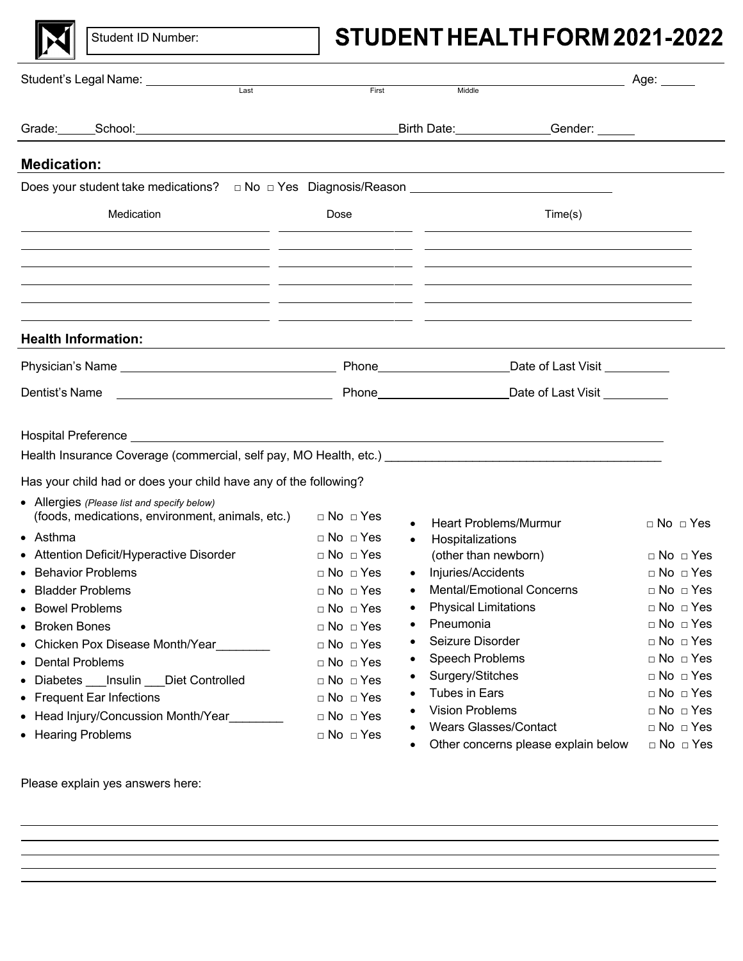

Student ID Number:

# STUDENT HEALTH FORM 2021-2022

| Student's Legal Name: ______________                                                                                                                                                                                                                                                                                                                                                                                                                       |                                                           |                                             |                      | Age: _____           |
|------------------------------------------------------------------------------------------------------------------------------------------------------------------------------------------------------------------------------------------------------------------------------------------------------------------------------------------------------------------------------------------------------------------------------------------------------------|-----------------------------------------------------------|---------------------------------------------|----------------------|----------------------|
| Last                                                                                                                                                                                                                                                                                                                                                                                                                                                       | First                                                     | Middle                                      |                      |                      |
|                                                                                                                                                                                                                                                                                                                                                                                                                                                            |                                                           | Birth Date: Cender: Cender:                 |                      |                      |
| <b>Medication:</b>                                                                                                                                                                                                                                                                                                                                                                                                                                         |                                                           |                                             |                      |                      |
| Does your student take medications? □ No □ Yes Diagnosis/Reason ___________________________________                                                                                                                                                                                                                                                                                                                                                        |                                                           |                                             |                      |                      |
| Medication                                                                                                                                                                                                                                                                                                                                                                                                                                                 | Dose                                                      |                                             | Time(s)              |                      |
| <u> 1989 - Andrea Santa Alemania, poeta esperanto-poeta esperanto-poeta esperanto-poeta esperanto-poeta esperanto-</u><br><u> 1989 - Andrea Santa Alemania, poeta esperanto-se en la contrada de la contrada de la contrada de la contrada</u><br><u> 1990 - Andrea Andrew Maria (h. 1980).</u><br>2001 - Andrew Maria (h. 1902).<br><u> 1989 - Andrea Santa Alemania, amerikana amerikana amerikana amerikana amerikana amerikana amerikana amerikana</u> |                                                           |                                             |                      |                      |
| <b>Health Information:</b>                                                                                                                                                                                                                                                                                                                                                                                                                                 |                                                           |                                             |                      |                      |
|                                                                                                                                                                                                                                                                                                                                                                                                                                                            |                                                           |                                             |                      |                      |
| <u> The Communication of the Communication</u><br>Dentist's Name                                                                                                                                                                                                                                                                                                                                                                                           |                                                           | Phone <u>Constantine Date</u> of Last Visit |                      |                      |
|                                                                                                                                                                                                                                                                                                                                                                                                                                                            |                                                           |                                             |                      |                      |
| Health Insurance Coverage (commercial, self pay, MO Health, etc.) entitled and the control of the control of the control of the control of the control of the control of the control of the control of the control of the cont                                                                                                                                                                                                                             |                                                           |                                             |                      |                      |
| Has your child had or does your child have any of the following?                                                                                                                                                                                                                                                                                                                                                                                           |                                                           |                                             |                      |                      |
| • Allergies (Please list and specify below)<br>(foods, medications, environment, animals, etc.)                                                                                                                                                                                                                                                                                                                                                            | $\Box$ No $\Box$ Yes                                      | <b>Heart Problems/Murmur</b>                |                      | $\Box$ No $\Box$ Yes |
| $\bullet$ Asthma<br>• Attention Deficit/Hyperactive Disorder                                                                                                                                                                                                                                                                                                                                                                                               | $\Box$ No $\Box$ Yes<br>$\bullet$<br>$\Box$ No $\Box$ Yes | Hospitalizations<br>(other than newborn)    |                      | $\Box$ No $\Box$ Yes |
| <b>Behavior Problems</b><br>$\bullet$                                                                                                                                                                                                                                                                                                                                                                                                                      | $\Box$ No $\Box$ Yes                                      | Injuries/Accidents                          |                      | $\Box$ No $\Box$ Yes |
| <b>Bladder Problems</b><br>$\bullet$                                                                                                                                                                                                                                                                                                                                                                                                                       | $\sqcap$ No $\sqcap$ Yes                                  | <b>Mental/Emotional Concerns</b>            |                      | $\Box$ No $\Box$ Yes |
| • Bowel Problems                                                                                                                                                                                                                                                                                                                                                                                                                                           | $\Box$ No $\Box$ Yes<br>٠                                 | <b>Physical Limitations</b>                 |                      | $\Box$ No $\Box$ Yes |
| • Broken Bones                                                                                                                                                                                                                                                                                                                                                                                                                                             | □ No □ Yes                                                | Pneumonia                                   | $\Box$ No $\Box$ Yes |                      |
| • Chicken Pox Disease Month/Year                                                                                                                                                                                                                                                                                                                                                                                                                           | □ No □ Yes                                                | Seizure Disorder                            | $\Box$ No $\Box$ Yes |                      |
| • Dental Problems                                                                                                                                                                                                                                                                                                                                                                                                                                          | $\Box$ No $\Box$ Yes                                      | Speech Problems                             |                      | $\Box$ No $\Box$ Yes |
| • Diabetes Insulin Diet Controlled                                                                                                                                                                                                                                                                                                                                                                                                                         | $\Box$ No $\Box$ Yes                                      | Surgery/Stitches                            |                      | $\Box$ No $\Box$ Yes |
| • Frequent Ear Infections                                                                                                                                                                                                                                                                                                                                                                                                                                  | $\Box$ No $\Box$ Yes                                      | <b>Tubes in Ears</b>                        |                      | $\Box$ No $\Box$ Yes |
| • Head Injury/Concussion Month/Year                                                                                                                                                                                                                                                                                                                                                                                                                        | $\Box$ No $\Box$ Yes                                      | <b>Vision Problems</b>                      |                      | $\Box$ No $\Box$ Yes |
| • Hearing Problems                                                                                                                                                                                                                                                                                                                                                                                                                                         | $\Box$ No $\Box$ Yes                                      | <b>Wears Glasses/Contact</b>                |                      | $\Box$ No $\Box$ Yes |
|                                                                                                                                                                                                                                                                                                                                                                                                                                                            | ٠                                                         | Other concerns please explain below         |                      | $\Box$ No $\Box$ Yes |

Please explain yes answers here: